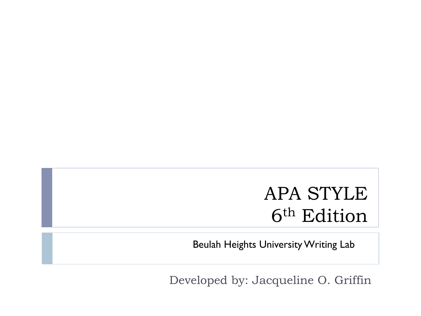### APA STYLE 6th Edition

Beulah Heights University Writing Lab

Developed by: Jacqueline O. Griffin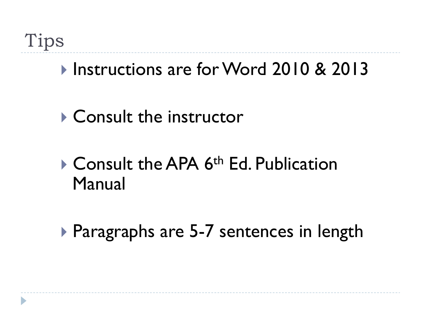### ! Instructions are for Word 2010 & 2013

! Consult the instructor

### **Consult the APA 6<sup>th</sup> Ed. Publication** Manual

**Paragraphs are 5-7 sentences in length**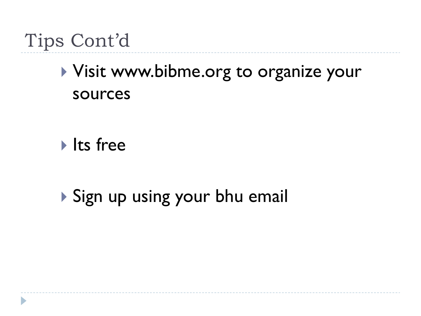# Tips Cont'd

## ! Visit www.bibme.org to organize your sources

Its free

! Sign up using your bhu email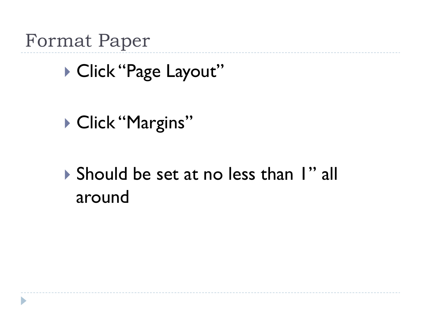Format Paper

D

▶ Click "Page Layout"

▶ Click "Margins"

! Should be set at no less than 1" all around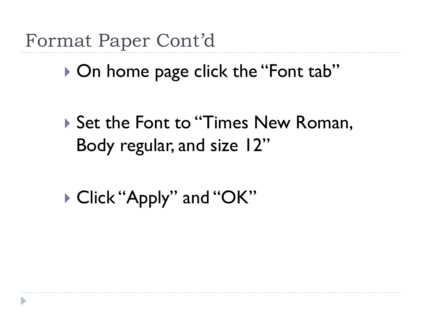Format Paper Cont'd

▶ On home page click the "Font tab"

▶ Set the Font to "Times New Roman, Body regular, and size 12"

▶ Click "Apply" and "OK"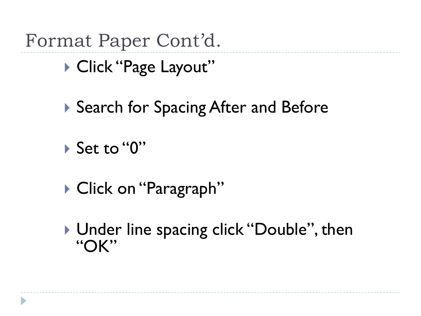Format Paper Cont'd.

▶ Click "Page Layout"

- ▶ Search for Spacing After and Before
- ! Set to "0"
- ▶ Click on "Paragraph"
- ▶ Under line spacing click "Double", then "OK"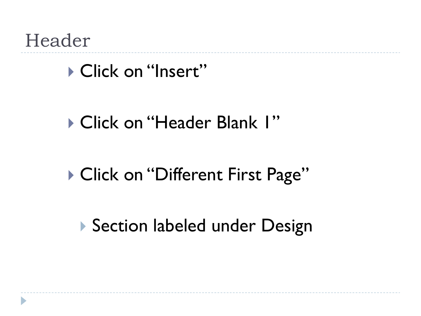Header

▶ Click on "Insert"

▶ Click on "Header Blank I"

▶ Click on "Different First Page"

**Section labeled under Design**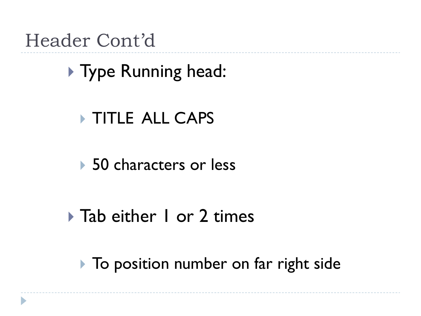### Header Cont'd

# ▶ Type Running head:

#### **TITLE ALL CAPS**

#### ▶ 50 characters or less

### ▶ Tab either 1 or 2 times

**I** To position number on far right side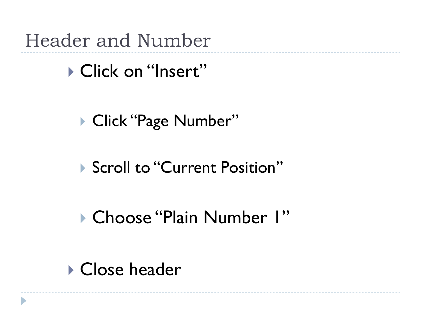Header and Number

▶ Click on "Insert"

▶ Click "Page Number"

▶ Scroll to "Current Position"

! Choose "Plain Number 1"

**Close header**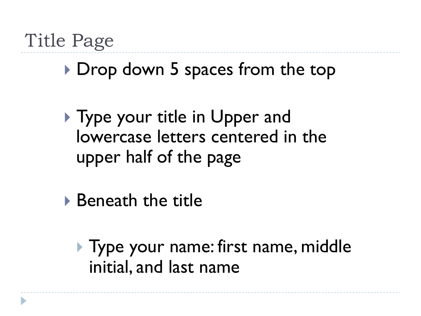## Title Page

### ▶ Drop down 5 spaces from the top

- **If** Type your title in Upper and lowercase letters centered in the upper half of the page
- ▶ Beneath the title
	- **If Type your name: first name, middle** initial, and last name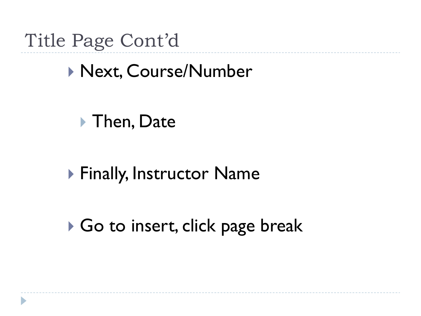Title Page Cont'd

! Next, Course/Number

▶ Then, Date

**Einally, Instructor Name** 

▶ Go to insert, click page break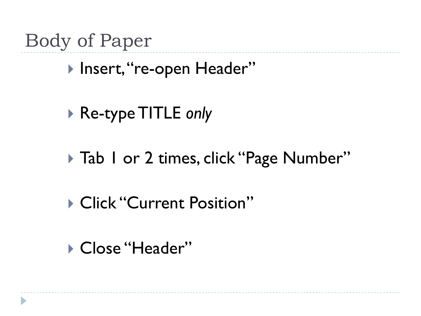Body of Paper

▶ Insert, "re-open Header"

- ▶ Re-type TITLE *only*
- ▶ Tab 1 or 2 times, click "Page Number"
- **Click "Current Position"**
- ▶ Close "Header"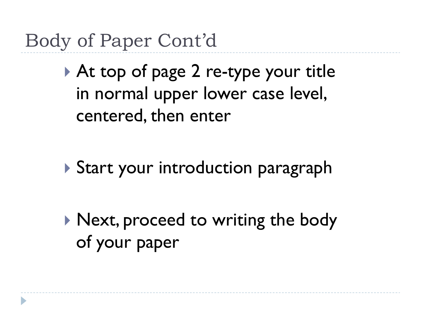Body of Paper Cont'd

▶ At top of page 2 re-type your title in normal upper lower case level, centered, then enter

**Start your introduction paragraph** 

▶ Next, proceed to writing the body of your paper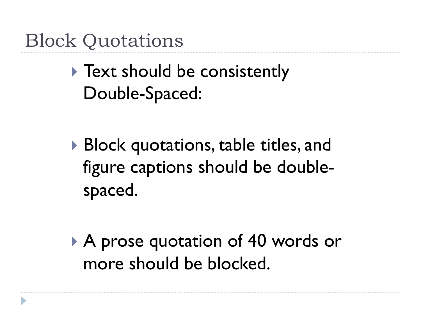Block Quotations

**Text should be consistently** Double-Spaced:

- ▶ Block quotations, table titles, and figure captions should be doublespaced.
- ▶ A prose quotation of 40 words or more should be blocked.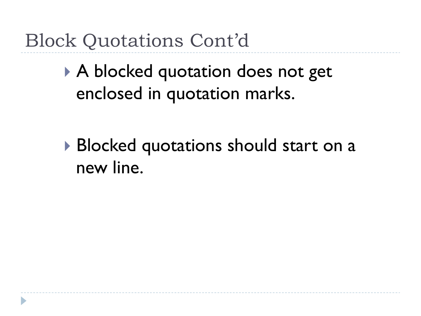Block Quotations Cont'd

▶ A blocked quotation does not get enclosed in quotation marks.

▶ Blocked quotations should start on a new line.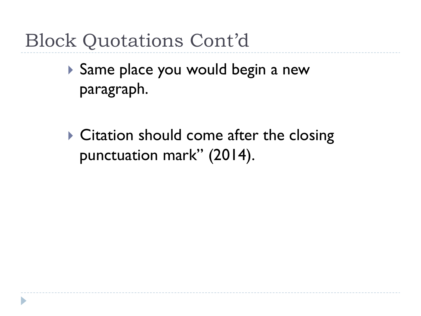# Block Quotations Cont'd

- ! Same place you would begin a new paragraph.
- $\triangleright$  Citation should come after the closing punctuation mark" (2014).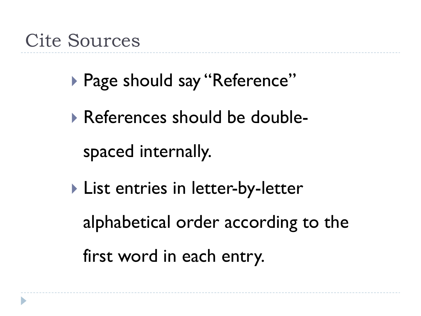### Cite Sources

- ▶ Page should say "Reference"
- ! References should be doublespaced internally.
- **I** List entries in letter-by-letter alphabetical order according to the first word in each entry.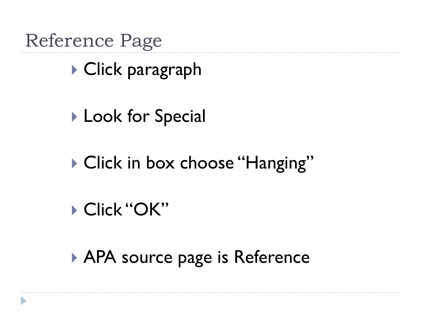Reference Page

▶ Click paragraph

**Look for Special** 

▶ Click in box choose "Hanging"

! Click "OK"

▶ APA source page is Reference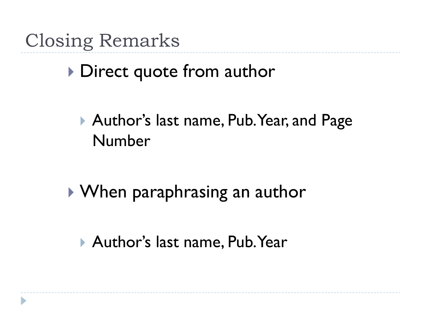Closing Remarks

**I** Direct quote from author

▶ Author's last name, Pub. Year, and Page Number

! When paraphrasing an author

▶ Author's last name, Pub. Year